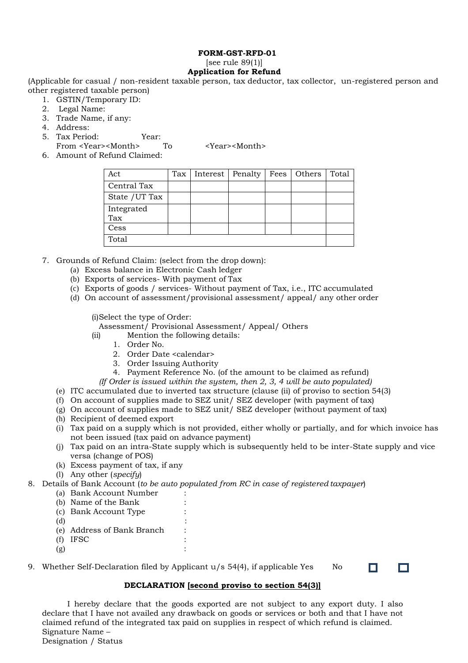#### **FORM-GST-RFD-01** [see rule  $89(1)$ ] **Application for Refund**

(Applicable for casual / non-resident taxable person, tax deductor, tax collector, un-registered person and other registered taxable person)

- 1. GSTIN/Temporary ID:
- 2. Legal Name:
- 3. Trade Name, if any:
- 4. Address:
- 5. Tax Period: Year:

From <Year><Month> To <Year><Month>

6. Amount of Refund Claimed:

| Act               | Tax | Interest   Penalty | Fees | Others | Total |
|-------------------|-----|--------------------|------|--------|-------|
| Central Tax       |     |                    |      |        |       |
| State / UT Tax    |     |                    |      |        |       |
| Integrated<br>Tax |     |                    |      |        |       |
| Cess              |     |                    |      |        |       |
| Total             |     |                    |      |        |       |

- 7. Grounds of Refund Claim: (select from the drop down):
	- (a) Excess balance in Electronic Cash ledger
	- (b) Exports of services- With payment of Tax
	- (c) Exports of goods / services- Without payment of Tax, i.e., ITC accumulated
	- (d) On account of assessment/provisional assessment/ appeal/ any other order

(i)Select the type of Order:

Assessment/ Provisional Assessment/ Appeal/ Others

- (ii) Mention the following details:
	- 1. Order No.
	- 2. Order Date <calendar>
	- 3. Order Issuing Authority
	- 4. Payment Reference No. (of the amount to be claimed as refund)
- *(If Order is issued within the system, then 2, 3, 4 will be auto populated)*
- (e) ITC accumulated due to inverted tax structure (clause (ii) of proviso to section 54(3)
- (f) On account of supplies made to SEZ unit/ SEZ developer (with payment of tax)
- (g) On account of supplies made to SEZ unit/ SEZ developer (without payment of tax)
- (h) Recipient of deemed export
- (i) Tax paid on a supply which is not provided, either wholly or partially, and for which invoice has not been issued (tax paid on advance payment)
- (j) Tax paid on an intra-State supply which is subsequently held to be inter-State supply and vice versa (change of POS)

 $\Box$ 

 $\Box$ 

- (k) Excess payment of tax, if any
- (l) Any other (*specify*)
- 8. Details of Bank Account (*to be auto populated from RC in case of registered taxpayer*)
	- (a) Bank Account Number :
	- (b) Name of the Bank
	- (c) Bank Account Type :
	-
	- $(d)$  : (e) Address of Bank Branch :
	- (f) IFSC :
	- $(g)$  :
- 9. Whether Self-Declaration filed by Applicant  $u/s$  54(4), if applicable Yes No

## **DECLARATION [second proviso to section 54(3)]**

I hereby declare that the goods exported are not subject to any export duty. I also declare that I have not availed any drawback on goods or services or both and that I have not claimed refund of the integrated tax paid on supplies in respect of which refund is claimed. Signature Name – Designation / Status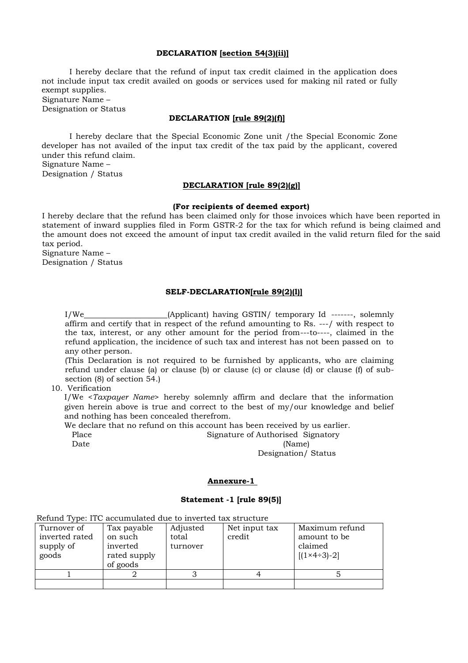#### **DECLARATION [section 54(3)(ii)]**

I hereby declare that the refund of input tax credit claimed in the application does not include input tax credit availed on goods or services used for making nil rated or fully exempt supplies.

Signature Name – Designation or Status

#### **DECLARATION [rule 89(2)(f)]**

I hereby declare that the Special Economic Zone unit /the Special Economic Zone developer has not availed of the input tax credit of the tax paid by the applicant, covered under this refund claim. Signature Name –

Designation / Status

### **DECLARATION [rule 89(2)(g)]**

#### **(For recipients of deemed export)**

I hereby declare that the refund has been claimed only for those invoices which have been reported in statement of inward supplies filed in Form GSTR-2 for the tax for which refund is being claimed and the amount does not exceed the amount of input tax credit availed in the valid return filed for the said tax period.

Signature Name – Designation / Status

#### **SELF-DECLARATION[rule 89(2)(l)]**

I/We (Applicant) having GSTIN/ temporary Id -------, solemnly affirm and certify that in respect of the refund amounting to Rs. ---/ with respect to the tax, interest, or any other amount for the period from---to----, claimed in the refund application, the incidence of such tax and interest has not been passed on to any other person.

(This Declaration is not required to be furnished by applicants, who are claiming refund under clause (a) or clause (b) or clause (c) or clause (d) or clause (f) of subsection (8) of section 54.)

10. Verification

I/We <*Taxpayer Name*> hereby solemnly affirm and declare that the information given herein above is true and correct to the best of my/our knowledge and belief and nothing has been concealed therefrom.

We declare that no refund on this account has been received by us earlier.

Place Signature of Authorised Signatory Date (Name)

Designation/ Status

#### **Annexure-1**

#### **Statement -1 [rule 89(5)]**

| relative 1990. HPC accumulated due to moving this structure |                                                                |                               |                         |                                                                          |
|-------------------------------------------------------------|----------------------------------------------------------------|-------------------------------|-------------------------|--------------------------------------------------------------------------|
| Turnover of<br>inverted rated<br>supply of<br>goods         | Tax payable<br>on such<br>inverted<br>rated supply<br>of goods | Adjusted<br>total<br>turnover | Net input tax<br>credit | Maximum refund<br>amount to be<br>claimed<br>$[(1 \times 4 \div 3) - 2]$ |
|                                                             |                                                                |                               |                         |                                                                          |
|                                                             |                                                                |                               |                         |                                                                          |

Refund Type: ITC accumulated due to inverted tax structure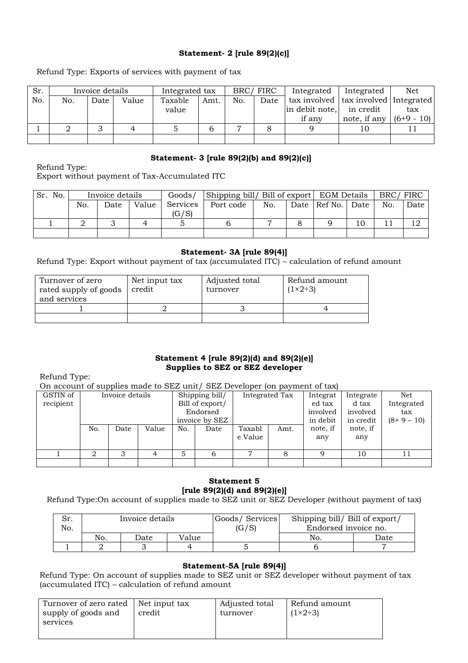# **Statement- 2 [rule 89(2)(c)]**

Refund Type: Exports of services with payment of tax

| Sr. |     | Invoice details |       | Integrated tax |      | BRC/FIRC |      | Integrated                               | Integrated   | Net        |
|-----|-----|-----------------|-------|----------------|------|----------|------|------------------------------------------|--------------|------------|
| No. | No. | Date            | Value | Taxable        | Amt. | No.      | Date | tax involved   tax involved   Integrated |              |            |
|     |     |                 |       | value          |      |          |      | in debit note, in credit                 |              | tax        |
|     |     |                 |       |                |      |          |      | if any                                   | note, if any | $(6+9-10)$ |
|     |     |                 |       |                |      |          |      |                                          | 10           |            |
|     |     |                 |       |                |      |          |      |                                          |              |            |

## **Statement- 3 [rule 89(2)(b) and 89(2)(c)]**

Refund Type: Export without payment of Tax-Accumulated ITC

| Sr. No. |     | Invoice details |       | Goods/   | Shipping bill/ Bill of export EGM Details |     |  |                |      | BRC/FIRC |      |
|---------|-----|-----------------|-------|----------|-------------------------------------------|-----|--|----------------|------|----------|------|
|         | No. | Date            | Value | Services | Port code                                 | No. |  | Date   Ref No. | Date | No.      | Date |
|         |     |                 |       | (G/S)    |                                           |     |  |                |      |          |      |
|         |     |                 |       |          |                                           |     |  |                | 10   |          |      |
|         |     |                 |       |          |                                           |     |  |                |      |          |      |

## **Statement- 3A [rule 89(4)]**

Refund Type: Export without payment of tax (accumulated ITC) – calculation of refund amount

| Turnover of zero<br>rated supply of goods<br>and services | Net input tax<br>credit | Adjusted total<br>turnover | Refund amount<br>$(1\times 2+3)$ |
|-----------------------------------------------------------|-------------------------|----------------------------|----------------------------------|
|                                                           |                         |                            |                                  |
|                                                           |                         |                            |                                  |

### **Statement 4 [rule 89(2)(d) and 89(2)(e)] Supplies to SEZ or SEZ developer**

Refund Type:

On account of supplies made to SEZ unit/ SEZ Developer (on payment of tax)

| GSTIN of  |     |      | Invoice details |          | Shipping bill/  |         | Integrated Tax | Integrat | Integrate | Net        |
|-----------|-----|------|-----------------|----------|-----------------|---------|----------------|----------|-----------|------------|
| recipient |     |      |                 |          | Bill of export/ |         |                | ed tax   | d tax     | Integrated |
|           |     |      |                 | Endorsed |                 |         |                | involved | involved  | tax        |
|           |     |      |                 |          | invoice by SEZ  |         |                | in debit | in credit | $(8+9-10)$ |
|           | No. | Date | Value           | No.      | Date            | Taxabl  | Amt.           | note, if | note, if  |            |
|           |     |      |                 |          |                 | e Value |                | any      | any       |            |
|           |     |      |                 |          |                 |         |                |          |           |            |
|           | ∩   | 3    |                 |          | b               | ⇁       | 8              | q        | 10        | 11         |
|           |     |      |                 |          |                 |         |                |          |           |            |

# **Statement 5 [rule 89(2)(d) and 89(2)(e)]**

Refund Type:On account of supplies made to SEZ unit or SEZ Developer (without payment of tax)

| ، C<br>No. |     | Invoice details |       | Goods/Services<br>(G/S) | Shipping bill/ Bill of export/<br>Endorsed invoice no. |      |
|------------|-----|-----------------|-------|-------------------------|--------------------------------------------------------|------|
|            | No. | Date            | Value |                         | No.                                                    | Date |
|            |     |                 |       |                         |                                                        |      |

## **Statement-5A [rule 89(4)]**

Refund Type: On account of supplies made to SEZ unit or SEZ developer without payment of tax (accumulated ITC) – calculation of refund amount

| Turnover of zero rated   Net input tax<br>supply of goods and | credit | Adjusted total<br>turnover | Refund amount<br>$(1\times 2+3)$ |
|---------------------------------------------------------------|--------|----------------------------|----------------------------------|
| services                                                      |        |                            |                                  |
|                                                               |        |                            |                                  |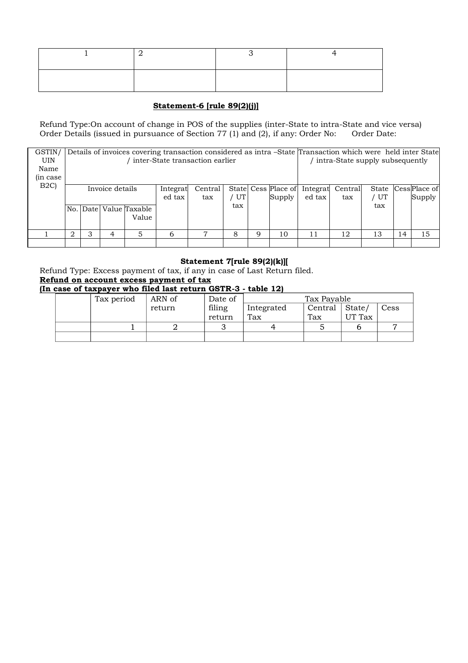# **Statement-6 [rule 89(2)(j)]**

Refund Type:On account of change in POS of the supplies (inter-State to intra-State and vice versa)<br>Order Details (issued in pursuance of Section 77 (1) and (2), if any: Order No: Order Date: Order Details (issued in pursuance of Section 77 (1) and (2), if any: Order No:

| GSTIN/     |                             |                                 |                 |                        |          | Details of invoices covering transaction considered as intra -State Transaction which were held inter State |     |   |                     |          |                                 |     |    |                    |  |
|------------|-----------------------------|---------------------------------|-----------------|------------------------|----------|-------------------------------------------------------------------------------------------------------------|-----|---|---------------------|----------|---------------------------------|-----|----|--------------------|--|
| <b>UIN</b> |                             | inter-State transaction earlier |                 |                        |          |                                                                                                             |     |   |                     |          | intra-State supply subsequently |     |    |                    |  |
| Name       |                             |                                 |                 |                        |          |                                                                                                             |     |   |                     |          |                                 |     |    |                    |  |
| in case    |                             |                                 |                 |                        |          |                                                                                                             |     |   |                     |          |                                 |     |    |                    |  |
| B2C        |                             |                                 | Invoice details |                        | Integrat | Central                                                                                                     |     |   | State Cess Place of | Integrat | Central                         |     |    | State CessPlace of |  |
|            |                             |                                 |                 |                        | ed tax   | tax                                                                                                         | UT  |   | Supply              | ed tax   | tax                             | UT  |    | Supply             |  |
|            |                             |                                 |                 | No. Date Value Taxable |          |                                                                                                             | tax |   |                     |          |                                 | tax |    |                    |  |
|            |                             |                                 |                 | Value                  |          |                                                                                                             |     |   |                     |          |                                 |     |    |                    |  |
|            |                             |                                 |                 |                        |          |                                                                                                             |     |   |                     |          |                                 |     |    |                    |  |
|            | $\mathcal{D}_{\mathcal{L}}$ |                                 |                 | 5                      | 6        |                                                                                                             | 8   | q | 10                  | 11       | 12                              | 13  | 14 | 15                 |  |
|            |                             |                                 |                 |                        |          |                                                                                                             |     |   |                     |          |                                 |     |    |                    |  |

## **Statement 7[rule 89(2)(k)][**

Refund Type: Excess payment of tax, if any in case of Last Return filed. **Refund on account excess payment of tax (In case of taxpayer who filed last return GSTR-3 - table 12)**

|  |            | n casc of taxpayer who hied fast feturn dorfly - table f2) |         |            |             |                |      |  |
|--|------------|------------------------------------------------------------|---------|------------|-------------|----------------|------|--|
|  | Tax period | ARN of                                                     | Date of |            | Tax Payable |                |      |  |
|  |            | return                                                     | filing  | Integrated | Central     | $\vert$ State/ | Cess |  |
|  |            |                                                            | return  | Tax        | Tax         | UT Tax         |      |  |
|  |            |                                                            |         |            |             |                |      |  |
|  |            |                                                            |         |            |             |                |      |  |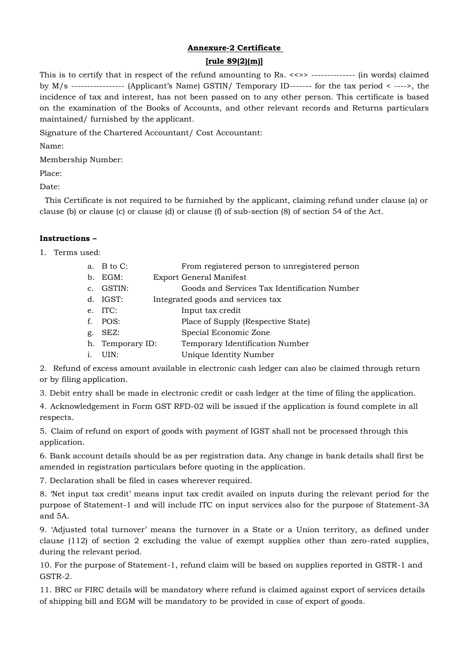# **Annexure-2 Certificate**

## **[rule 89(2)(m)]**

This is to certify that in respect of the refund amounting to Rs. <<>> -------------- (in words) claimed by M/s ----------------- (Applicant's Name) GSTIN/ Temporary ID------- for the tax period < ---->, the incidence of tax and interest, has not been passed on to any other person. This certificate is based on the examination of the Books of Accounts, and other relevant records and Returns particulars maintained/ furnished by the applicant.

Signature of the Chartered Accountant/ Cost Accountant:

Name:

Membership Number:

Place:

Date:

This Certificate is not required to be furnished by the applicant, claiming refund under clause (a) or clause (b) or clause (c) or clause (d) or clause (f) of sub-section (8) of section 54 of the Act.

## **Instructions –**

1. Terms used:

|             | a. $B$ to $C$ :  | From registered person to unregistered person |
|-------------|------------------|-----------------------------------------------|
| b.          | EGM:             | <b>Export General Manifest</b>                |
| $C_{\star}$ | GSTIN:           | Goods and Services Tax Identification Number  |
|             | $d.$ IGST:       | Integrated goods and services tax             |
|             | e. ITC:          | Input tax credit                              |
| f           | POS:             | Place of Supply (Respective State)            |
| g.          | SEZ:             | Special Economic Zone                         |
|             | h. Temporary ID: | Temporary Identification Number               |
|             | UIN:             | Unique Identity Number                        |

2. Refund of excess amount available in electronic cash ledger can also be claimed through return or by filing application.

3. Debit entry shall be made in electronic credit or cash ledger at the time of filing the application.

4. Acknowledgement in Form GST RFD-02 will be issued if the application is found complete in all respects.

5. Claim of refund on export of goods with payment of IGST shall not be processed through this application.

6. Bank account details should be as per registration data. Any change in bank details shall first be amended in registration particulars before quoting in the application.

7. Declaration shall be filed in cases wherever required.

8. 'Net input tax credit' means input tax credit availed on inputs during the relevant period for the purpose of Statement-1 and will include ITC on input services also for the purpose of Statement-3A and 5A.

9. 'Adjusted total turnover' means the turnover in a State or a Union territory, as defined under clause (112) of section 2 excluding the value of exempt supplies other than zero-rated supplies, during the relevant period.

10. For the purpose of Statement-1, refund claim will be based on supplies reported in GSTR-1 and GSTR-2.

11. BRC or FIRC details will be mandatory where refund is claimed against export of services details of shipping bill and EGM will be mandatory to be provided in case of export of goods.